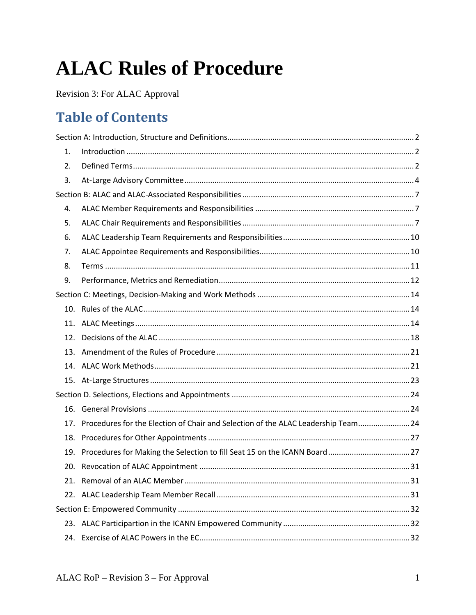# **ALAC Rules of Procedure**

Revision 3: For ALAC Approval

# **Table of Contents**

| 1.  |                                                                                   |  |
|-----|-----------------------------------------------------------------------------------|--|
| 2.  |                                                                                   |  |
| 3.  |                                                                                   |  |
|     |                                                                                   |  |
| 4.  |                                                                                   |  |
| 5.  |                                                                                   |  |
| 6.  |                                                                                   |  |
| 7.  |                                                                                   |  |
| 8.  |                                                                                   |  |
| 9.  |                                                                                   |  |
|     |                                                                                   |  |
|     |                                                                                   |  |
|     |                                                                                   |  |
| 12. |                                                                                   |  |
|     |                                                                                   |  |
|     |                                                                                   |  |
|     |                                                                                   |  |
|     |                                                                                   |  |
|     |                                                                                   |  |
| 17. | Procedures for the Election of Chair and Selection of the ALAC Leadership Team 24 |  |
| 18. |                                                                                   |  |
|     |                                                                                   |  |
|     |                                                                                   |  |
|     |                                                                                   |  |
|     |                                                                                   |  |
|     |                                                                                   |  |
|     |                                                                                   |  |
| 24. |                                                                                   |  |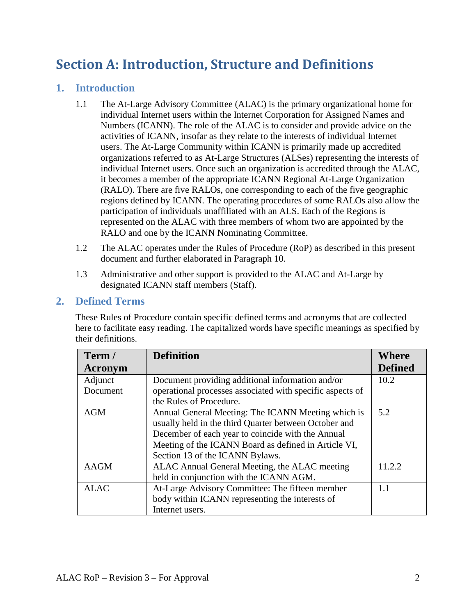# <span id="page-1-0"></span>**Section A: Introduction, Structure and Definitions**

## <span id="page-1-3"></span><span id="page-1-1"></span>**1. Introduction**

- 1.1 The At-Large Advisory Committee (ALAC) is the primary organizational home for individual Internet users within the Internet Corporation for Assigned Names and Numbers (ICANN). The role of the ALAC is to consider and provide advice on the activities of ICANN, insofar as they relate to the interests of individual Internet users. The At-Large Community within ICANN is primarily made up accredited organizations referred to as At-Large Structures (ALSes) representing the interests of individual Internet users. Once such an organization is accredited through the ALAC, it becomes a member of the appropriate ICANN Regional At-Large Organization (RALO). There are five RALOs, one corresponding to each of the five geographic regions defined by ICANN. The operating procedures of some RALOs also allow the participation of individuals unaffiliated with an ALS. Each of the Regions is represented on the ALAC with three members of whom two are appointed by the RALO and one by the ICANN Nominating Committee.
- <span id="page-1-4"></span>1.2 The ALAC operates under the Rules of Procedure (RoP) as described in this present document and further elaborated in Paragraph [10.](#page-13-1)
- <span id="page-1-5"></span>1.3 Administrative and other support is provided to the ALAC and At-Large by designated ICANN staff members (Staff).

#### <span id="page-1-2"></span>**2. Defined Terms**

These Rules of Procedure contain specific defined terms and acronyms that are collected here to facilitate easy reading. The capitalized words have specific meanings as specified by their definitions.

| Term /      | <b>Definition</b>                                         | Where          |
|-------------|-----------------------------------------------------------|----------------|
| Acronym     |                                                           | <b>Defined</b> |
| Adjunct     | Document providing additional information and/or          | 10.2           |
| Document    | operational processes associated with specific aspects of |                |
|             | the Rules of Procedure.                                   |                |
| <b>AGM</b>  | Annual General Meeting: The ICANN Meeting which is        | 5.2            |
|             | usually held in the third Quarter between October and     |                |
|             | December of each year to coincide with the Annual         |                |
|             | Meeting of the ICANN Board as defined in Article VI,      |                |
|             | Section 13 of the ICANN Bylaws.                           |                |
| <b>AAGM</b> | ALAC Annual General Meeting, the ALAC meeting             | 11.2.2         |
|             | held in conjunction with the ICANN AGM.                   |                |
| <b>ALAC</b> | At-Large Advisory Committee: The fifteen member           | 1.1            |
|             | body within ICANN representing the interests of           |                |
|             | Internet users.                                           |                |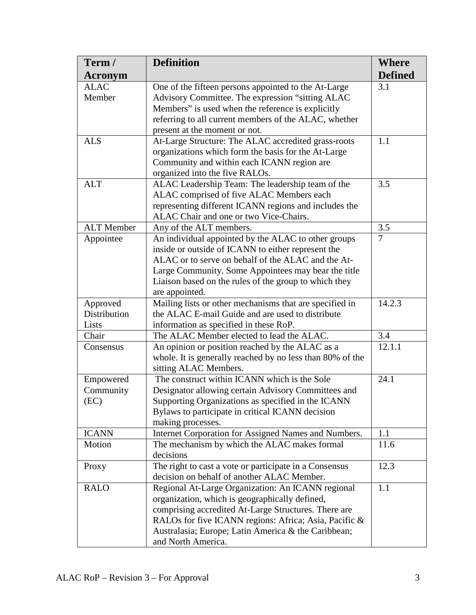| Term /                | <b>Definition</b>                                                                                        | <b>Where</b>   |
|-----------------------|----------------------------------------------------------------------------------------------------------|----------------|
| <b>Acronym</b>        |                                                                                                          | <b>Defined</b> |
| <b>ALAC</b><br>Member | One of the fifteen persons appointed to the At-Large<br>Advisory Committee. The expression "sitting ALAC | 3.1            |
|                       | Members" is used when the reference is explicitly                                                        |                |
|                       | referring to all current members of the ALAC, whether                                                    |                |
|                       | present at the moment or not.                                                                            |                |
| <b>ALS</b>            | At-Large Structure: The ALAC accredited grass-roots                                                      | 1.1            |
|                       | organizations which form the basis for the At-Large                                                      |                |
|                       | Community and within each ICANN region are<br>organized into the five RALOs.                             |                |
| <b>ALT</b>            | ALAC Leadership Team: The leadership team of the                                                         | 3.5            |
|                       | ALAC comprised of five ALAC Members each                                                                 |                |
|                       | representing different ICANN regions and includes the                                                    |                |
|                       | ALAC Chair and one or two Vice-Chairs.                                                                   |                |
| <b>ALT</b> Member     | Any of the ALT members.                                                                                  | 3.5            |
| Appointee             | An individual appointed by the ALAC to other groups                                                      | $\overline{7}$ |
|                       | inside or outside of ICANN to either represent the                                                       |                |
|                       | ALAC or to serve on behalf of the ALAC and the At-                                                       |                |
|                       | Large Community. Some Appointees may bear the title                                                      |                |
|                       | Liaison based on the rules of the group to which they                                                    |                |
|                       | are appointed.                                                                                           |                |
| Approved              | Mailing lists or other mechanisms that are specified in                                                  | 14.2.3         |
| Distribution          | the ALAC E-mail Guide and are used to distribute                                                         |                |
| Lists                 | information as specified in these RoP.                                                                   |                |
| Chair                 | The ALAC Member elected to lead the ALAC.                                                                | 3.4            |
| Consensus             | An opinion or position reached by the ALAC as a                                                          | 12.1.1         |
|                       | whole. It is generally reached by no less than 80% of the<br>sitting ALAC Members.                       |                |
| Empowered             | The construct within ICANN which is the Sole                                                             | 24.1           |
| Community             | Designator allowing certain Advisory Committees and                                                      |                |
| (EC)                  | Supporting Organizations as specified in the ICANN                                                       |                |
|                       | Bylaws to participate in critical ICANN decision                                                         |                |
|                       | making processes.                                                                                        |                |
| <b>ICANN</b>          | Internet Corporation for Assigned Names and Numbers.                                                     | 1.1            |
| Motion                | The mechanism by which the ALAC makes formal                                                             | 11.6           |
|                       | decisions                                                                                                |                |
| Proxy                 | The right to cast a vote or participate in a Consensus                                                   | 12.3           |
|                       | decision on behalf of another ALAC Member.                                                               |                |
| <b>RALO</b>           | Regional At-Large Organization: An ICANN regional                                                        | 1.1            |
|                       | organization, which is geographically defined,                                                           |                |
|                       | comprising accredited At-Large Structures. There are                                                     |                |
|                       | RALOs for five ICANN regions: Africa; Asia, Pacific &                                                    |                |
|                       | Australasia; Europe; Latin America & the Caribbean;                                                      |                |
|                       | and North America.                                                                                       |                |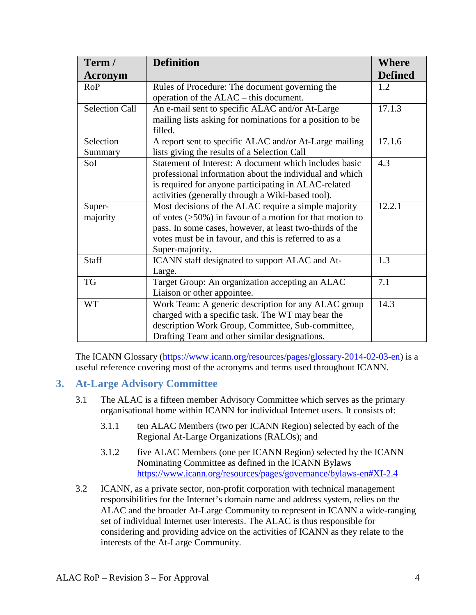| Term /                | <b>Definition</b>                                           | <b>Where</b>   |
|-----------------------|-------------------------------------------------------------|----------------|
| <b>Acronym</b>        |                                                             | <b>Defined</b> |
| <b>RoP</b>            | Rules of Procedure: The document governing the              | 1.2            |
|                       | operation of the ALAC – this document.                      |                |
| <b>Selection Call</b> | An e-mail sent to specific ALAC and/or At-Large             | 17.1.3         |
|                       | mailing lists asking for nominations for a position to be   |                |
|                       | filled.                                                     |                |
| Selection             | A report sent to specific ALAC and/or At-Large mailing      | 17.1.6         |
| Summary               | lists giving the results of a Selection Call                |                |
| SoI                   | Statement of Interest: A document which includes basic      | 4.3            |
|                       | professional information about the individual and which     |                |
|                       | is required for anyone participating in ALAC-related        |                |
|                       | activities (generally through a Wiki-based tool).           |                |
| Super-                | Most decisions of the ALAC require a simple majority        | 12.2.1         |
| majority              | of votes $($ >50%) in favour of a motion for that motion to |                |
|                       | pass. In some cases, however, at least two-thirds of the    |                |
|                       | votes must be in favour, and this is referred to as a       |                |
|                       | Super-majority.                                             |                |
| <b>Staff</b>          | ICANN staff designated to support ALAC and At-              | 1.3            |
|                       | Large.                                                      |                |
| TG                    | Target Group: An organization accepting an ALAC             | 7.1            |
|                       | Liaison or other appointee.                                 |                |
| <b>WT</b>             | Work Team: A generic description for any ALAC group         | 14.3           |
|                       | charged with a specific task. The WT may bear the           |                |
|                       | description Work Group, Committee, Sub-committee,           |                |
|                       | Drafting Team and other similar designations.               |                |

The ICANN Glossary (https://www.icann.org/resources/pages/glossary-2014-02-03-en) is a useful reference covering most of the acronyms and terms used throughout ICANN.

### <span id="page-3-1"></span><span id="page-3-0"></span>**3. At-Large Advisory Committee**

- 3.1 The ALAC is a fifteen member Advisory Committee which serves as the primary organisational home within ICANN for individual Internet users. It consists of:
	- 3.1.1 ten ALAC Members (two per ICANN Region) selected by each of the Regional At-Large Organizations (RALOs); and
	- 3.1.2 five ALAC Members (one per ICANN Region) selected by the ICANN Nominating Committee as defined in the ICANN Bylaws https://www.icann.org/resources/pages/governance/bylaws-en#XI-2.4
- 3.2 ICANN, as a private sector, non-profit corporation with technical management responsibilities for the Internet's domain name and address system, relies on the ALAC and the broader At-Large Community to represent in ICANN a wide-ranging set of individual Internet user interests. The ALAC is thus responsible for considering and providing advice on the activities of ICANN as they relate to the interests of the At-Large Community.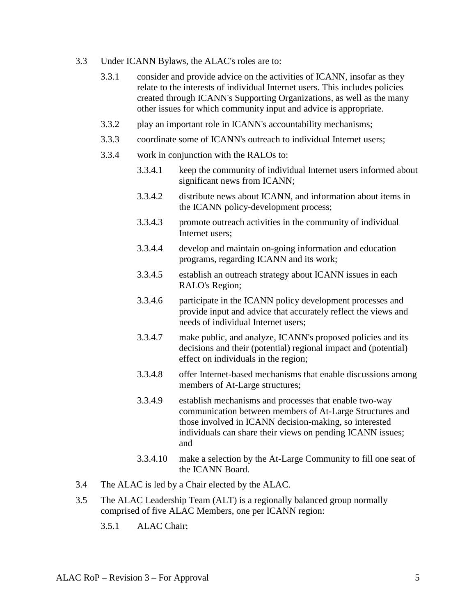- 3.3 Under ICANN Bylaws, the ALAC's roles are to:
	- 3.3.1 consider and provide advice on the activities of ICANN, insofar as they relate to the interests of individual Internet users. This includes policies created through ICANN's Supporting Organizations, as well as the many other issues for which community input and advice is appropriate.
	- 3.3.2 play an important role in ICANN's accountability mechanisms;
	- 3.3.3 coordinate some of ICANN's outreach to individual Internet users;
	- 3.3.4 work in conjunction with the RALOs to:
		- 3.3.4.1 keep the community of individual Internet users informed about significant news from ICANN;
		- 3.3.4.2 distribute news about ICANN, and information about items in the ICANN policy-development process;
		- 3.3.4.3 promote outreach activities in the community of individual Internet users;
		- 3.3.4.4 develop and maintain on-going information and education programs, regarding ICANN and its work;
		- 3.3.4.5 establish an outreach strategy about ICANN issues in each RALO's Region;
		- 3.3.4.6 participate in the ICANN policy development processes and provide input and advice that accurately reflect the views and needs of individual Internet users;
		- 3.3.4.7 make public, and analyze, ICANN's proposed policies and its decisions and their (potential) regional impact and (potential) effect on individuals in the region;
		- 3.3.4.8 offer Internet-based mechanisms that enable discussions among members of At-Large structures;
		- 3.3.4.9 establish mechanisms and processes that enable two-way communication between members of At-Large Structures and those involved in ICANN decision-making, so interested individuals can share their views on pending ICANN issues; and
		- 3.3.4.10 make a selection by the At-Large Community to fill one seat of the ICANN Board.
- <span id="page-4-1"></span>3.4 The ALAC is led by a Chair elected by the ALAC.
- <span id="page-4-0"></span>3.5 The ALAC Leadership Team (ALT) is a regionally balanced group normally comprised of five ALAC Members, one per ICANN region:
	- 3.5.1 ALAC Chair;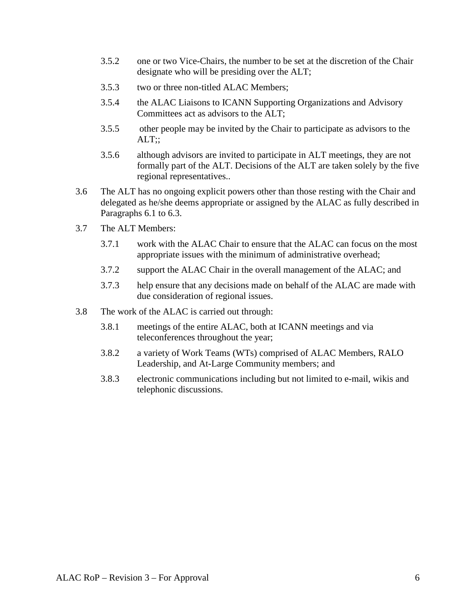- 3.5.2 one or two Vice-Chairs, the number to be set at the discretion of the Chair designate who will be presiding over the ALT;
- 3.5.3 two or three non-titled ALAC Members;
- 3.5.4 the ALAC Liaisons to ICANN Supporting Organizations and Advisory Committees act as advisors to the ALT;
- 3.5.5 other people may be invited by the Chair to participate as advisors to the  $ALT$ ;;
- 3.5.6 although advisors are invited to participate in ALT meetings, they are not formally part of the ALT. Decisions of the ALT are taken solely by the five regional representatives..
- 3.6 The ALT has no ongoing explicit powers other than those resting with the Chair and delegated as he/she deems appropriate or assigned by the ALAC as fully described in Paragraphs [6.1](#page-9-3) to [6.3.](#page-9-4)
- 3.7 The ALT Members:
	- 3.7.1 work with the ALAC Chair to ensure that the ALAC can focus on the most appropriate issues with the minimum of administrative overhead;
	- 3.7.2 support the ALAC Chair in the overall management of the ALAC; and
	- 3.7.3 help ensure that any decisions made on behalf of the ALAC are made with due consideration of regional issues.
- 3.8 The work of the ALAC is carried out through:
	- 3.8.1 meetings of the entire ALAC, both at ICANN meetings and via teleconferences throughout the year;
	- 3.8.2 a variety of Work Teams (WTs) comprised of ALAC Members, RALO Leadership, and At-Large Community members; and
	- 3.8.3 electronic communications including but not limited to e-mail, wikis and telephonic discussions.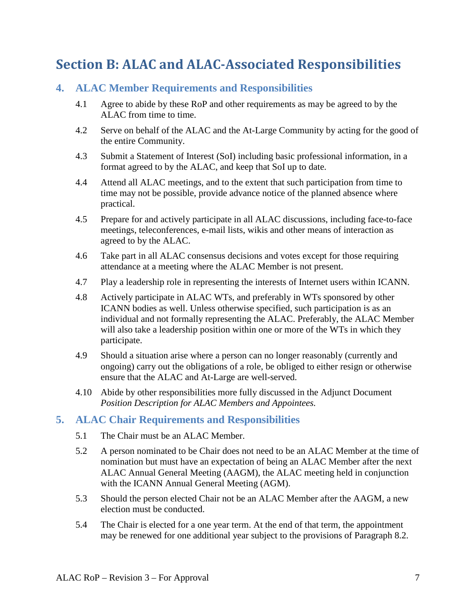# <span id="page-6-0"></span>**Section B: ALAC and ALAC-Associated Responsibilities**

#### <span id="page-6-1"></span>**4. ALAC Member Requirements and Responsibilities**

- 4.1 Agree to abide by these RoP and other requirements as may be agreed to by the ALAC from time to time.
- 4.2 Serve on behalf of the ALAC and the At-Large Community by acting for the good of the entire Community.
- <span id="page-6-4"></span>4.3 Submit a Statement of Interest (SoI) including basic professional information, in a format agreed to by the ALAC, and keep that SoI up to date.
- 4.4 Attend all ALAC meetings, and to the extent that such participation from time to time may not be possible, provide advance notice of the planned absence where practical.
- 4.5 Prepare for and actively participate in all ALAC discussions, including face-to-face meetings, teleconferences, e-mail lists, wikis and other means of interaction as agreed to by the ALAC.
- 4.6 Take part in all ALAC consensus decisions and votes except for those requiring attendance at a meeting where the ALAC Member is not present.
- 4.7 Play a leadership role in representing the interests of Internet users within ICANN.
- 4.8 Actively participate in ALAC WTs, and preferably in WTs sponsored by other ICANN bodies as well. Unless otherwise specified, such participation is as an individual and not formally representing the ALAC. Preferably, the ALAC Member will also take a leadership position within one or more of the WTs in which they participate.
- 4.9 Should a situation arise where a person can no longer reasonably (currently and ongoing) carry out the obligations of a role, be obliged to either resign or otherwise ensure that the ALAC and At-Large are well-served.
- 4.10 Abide by other responsibilities more fully discussed in the Adjunct Document *Position Description for ALAC Members and Appointees.*

#### <span id="page-6-2"></span>**5. ALAC Chair Requirements and Responsibilities**

- 5.1 The Chair must be an ALAC Member.
- <span id="page-6-3"></span>5.2 A person nominated to be Chair does not need to be an ALAC Member at the time of nomination but must have an expectation of being an ALAC Member after the next ALAC Annual General Meeting (AAGM), the ALAC meeting held in conjunction with the ICANN Annual General Meeting (AGM).
- 5.3 Should the person elected Chair not be an ALAC Member after the AAGM, a new election must be conducted.
- 5.4 The Chair is elected for a one year term. At the end of that term, the appointment may be renewed for one additional year subject to the provisions of Paragraph [8.2.](#page-11-1)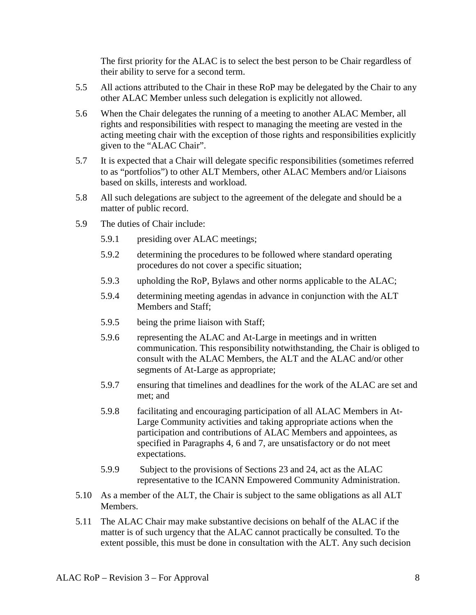The first priority for the ALAC is to select the best person to be Chair regardless of their ability to serve for a second term.

- 5.5 All actions attributed to the Chair in these RoP may be delegated by the Chair to any other ALAC Member unless such delegation is explicitly not allowed.
- 5.6 When the Chair delegates the running of a meeting to another ALAC Member, all rights and responsibilities with respect to managing the meeting are vested in the acting meeting chair with the exception of those rights and responsibilities explicitly given to the "ALAC Chair".
- 5.7 It is expected that a Chair will delegate specific responsibilities (sometimes referred to as "portfolios") to other ALT Members, other ALAC Members and/or Liaisons based on skills, interests and workload.
- 5.8 All such delegations are subject to the agreement of the delegate and should be a matter of public record.
- 5.9 The duties of Chair include:
	- 5.9.1 presiding over ALAC meetings;
	- 5.9.2 determining the procedures to be followed where standard operating procedures do not cover a specific situation;
	- 5.9.3 upholding the RoP, Bylaws and other norms applicable to the ALAC;
	- 5.9.4 determining meeting agendas in advance in conjunction with the ALT Members and Staff;
	- 5.9.5 being the prime liaison with Staff;
	- 5.9.6 representing the ALAC and At-Large in meetings and in written communication. This responsibility notwithstanding, the Chair is obliged to consult with the ALAC Members, the ALT and the ALAC and/or other segments of At-Large as appropriate;
	- 5.9.7 ensuring that timelines and deadlines for the work of the ALAC are set and met; and
	- 5.9.8 facilitating and encouraging participation of all ALAC Members in At-Large Community activities and taking appropriate actions when the participation and contributions of ALAC Members and appointees, as specified in Paragraphs [4,](#page-6-1) [6](#page-9-0) and [7,](#page-9-1) are unsatisfactory or do not meet expectations.
	- 5.9.9 Subject to the provisions of Sections [23](#page-31-1) and [24,](#page-31-2) act as the ALAC representative to the ICANN Empowered Community Administration.
- 5.10 As a member of the ALT, the Chair is subject to the same obligations as all ALT Members.
- 5.11 The ALAC Chair may make substantive decisions on behalf of the ALAC if the matter is of such urgency that the ALAC cannot practically be consulted. To the extent possible, this must be done in consultation with the ALT. Any such decision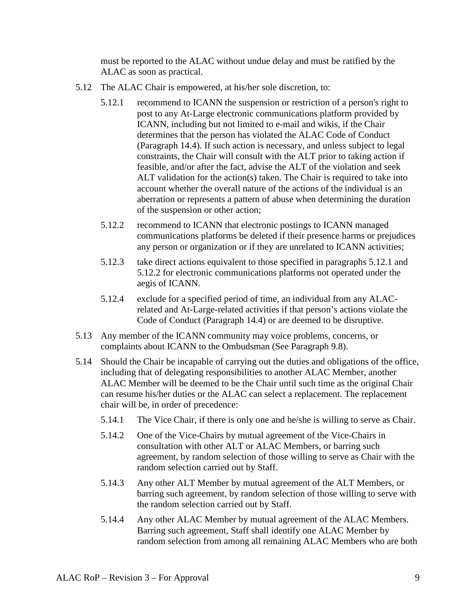must be reported to the ALAC without undue delay and must be ratified by the ALAC as soon as practical.

- <span id="page-8-0"></span>5.12 The ALAC Chair is empowered, at his/her sole discretion, to:
	- 5.12.1 recommend to ICANN the suspension or restriction of a person's right to post to any At-Large electronic communications platform provided by ICANN, including but not limited to e-mail and wikis, if the Chair determines that the person has violated the ALAC Code of Conduct (Paragraph [14.4\)](#page-22-1). If such action is necessary, and unless subject to legal constraints, the Chair will consult with the ALT prior to taking action if feasible, and/or after the fact, advise the ALT of the violation and seek ALT validation for the action(s) taken. The Chair is required to take into account whether the overall nature of the actions of the individual is an aberration or represents a pattern of abuse when determining the duration of the suspension or other action;
	- 5.12.2 recommend to ICANN that electronic postings to ICANN managed communications platforms be deleted if their presence harms or prejudices any person or organization or if they are unrelated to ICANN activities;
	- 5.12.3 take direct actions equivalent to those specified in paragraphs [5.12.1](#page-8-0) and [5.12.2](#page-8-1) for electronic communications platforms not operated under the aegis of ICANN.
	- 5.12.4 exclude for a specified period of time, an individual from any ALACrelated and At-Large-related activities if that person's actions violate the Code of Conduct (Paragraph [14.4\)](#page-22-1) or are deemed to be disruptive.
- <span id="page-8-1"></span>5.13 Any member of the ICANN community may voice problems, concerns, or complaints about ICANN to the Ombudsman (See Paragraph [9.8\)](#page-12-0).
- <span id="page-8-2"></span>5.14 Should the Chair be incapable of carrying out the duties and obligations of the office, including that of delegating responsibilities to another ALAC Member, another ALAC Member will be deemed to be the Chair until such time as the original Chair can resume his/her duties or the ALAC can select a replacement. The replacement chair will be, in order of precedence:
	- 5.14.1 The Vice Chair, if there is only one and he/she is willing to serve as Chair.
	- 5.14.2 One of the Vice-Chairs by mutual agreement of the Vice-Chairs in consultation with other ALT or ALAC Members, or barring such agreement, by random selection of those willing to serve as Chair with the random selection carried out by Staff.
	- 5.14.3 Any other ALT Member by mutual agreement of the ALT Members, or barring such agreement, by random selection of those willing to serve with the random selection carried out by Staff.
	- 5.14.4 Any other ALAC Member by mutual agreement of the ALAC Members. Barring such agreement, Staff shall identify one ALAC Member by random selection from among all remaining ALAC Members who are both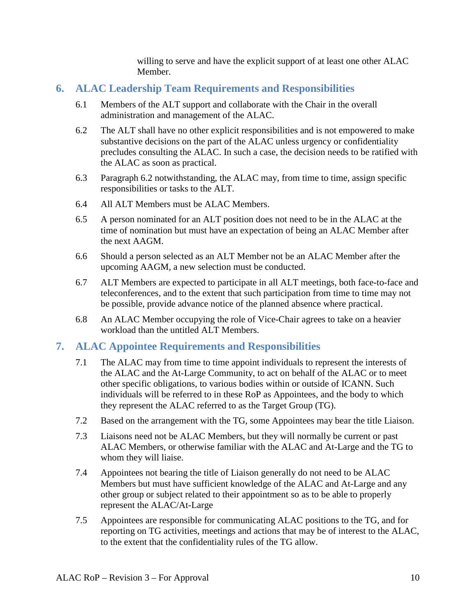willing to serve and have the explicit support of at least one other ALAC Member.

### <span id="page-9-3"></span><span id="page-9-0"></span>**6. ALAC Leadership Team Requirements and Responsibilities**

- 6.1 Members of the ALT support and collaborate with the Chair in the overall administration and management of the ALAC.
- <span id="page-9-5"></span>6.2 The ALT shall have no other explicit responsibilities and is not empowered to make substantive decisions on the part of the ALAC unless urgency or confidentiality precludes consulting the ALAC. In such a case, the decision needs to be ratified with the ALAC as soon as practical.
- <span id="page-9-4"></span>6.3 Paragraph [6.2](#page-9-5) notwithstanding, the ALAC may, from time to time, assign specific responsibilities or tasks to the ALT.
- 6.4 All ALT Members must be ALAC Members.
- 6.5 A person nominated for an ALT position does not need to be in the ALAC at the time of nomination but must have an expectation of being an ALAC Member after the next AAGM.
- 6.6 Should a person selected as an ALT Member not be an ALAC Member after the upcoming AAGM, a new selection must be conducted.
- 6.7 ALT Members are expected to participate in all ALT meetings, both face-to-face and teleconferences, and to the extent that such participation from time to time may not be possible, provide advance notice of the planned absence where practical.
- 6.8 An ALAC Member occupying the role of Vice-Chair agrees to take on a heavier workload than the untitled ALT Members.

### <span id="page-9-2"></span><span id="page-9-1"></span>**7. ALAC Appointee Requirements and Responsibilities**

- 7.1 The ALAC may from time to time appoint individuals to represent the interests of the ALAC and the At-Large Community, to act on behalf of the ALAC or to meet other specific obligations, to various bodies within or outside of ICANN. Such individuals will be referred to in these RoP as Appointees, and the body to which they represent the ALAC referred to as the Target Group (TG).
- 7.2 Based on the arrangement with the TG, some Appointees may bear the title Liaison.
- 7.3 Liaisons need not be ALAC Members, but they will normally be current or past ALAC Members, or otherwise familiar with the ALAC and At-Large and the TG to whom they will liaise.
- 7.4 Appointees not bearing the title of Liaison generally do not need to be ALAC Members but must have sufficient knowledge of the ALAC and At-Large and any other group or subject related to their appointment so as to be able to properly represent the ALAC/At-Large
- 7.5 Appointees are responsible for communicating ALAC positions to the TG, and for reporting on TG activities, meetings and actions that may be of interest to the ALAC, to the extent that the confidentiality rules of the TG allow.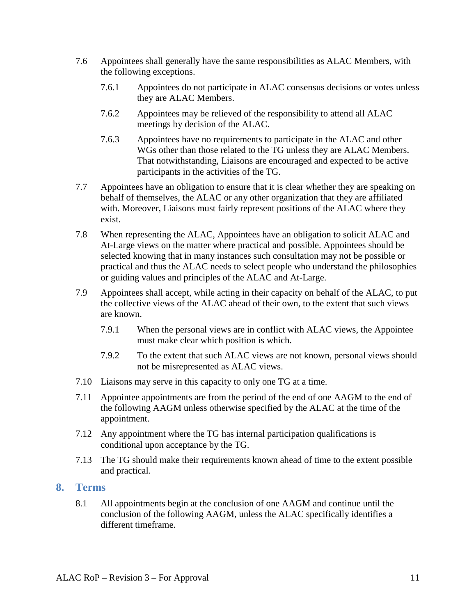- 7.6 Appointees shall generally have the same responsibilities as ALAC Members, with the following exceptions.
	- 7.6.1 Appointees do not participate in ALAC consensus decisions or votes unless they are ALAC Members.
	- 7.6.2 Appointees may be relieved of the responsibility to attend all ALAC meetings by decision of the ALAC.
	- 7.6.3 Appointees have no requirements to participate in the ALAC and other WGs other than those related to the TG unless they are ALAC Members. That notwithstanding, Liaisons are encouraged and expected to be active participants in the activities of the TG.
- 7.7 Appointees have an obligation to ensure that it is clear whether they are speaking on behalf of themselves, the ALAC or any other organization that they are affiliated with. Moreover, Liaisons must fairly represent positions of the ALAC where they exist.
- 7.8 When representing the ALAC, Appointees have an obligation to solicit ALAC and At-Large views on the matter where practical and possible. Appointees should be selected knowing that in many instances such consultation may not be possible or practical and thus the ALAC needs to select people who understand the philosophies or guiding values and principles of the ALAC and At-Large.
- 7.9 Appointees shall accept, while acting in their capacity on behalf of the ALAC, to put the collective views of the ALAC ahead of their own, to the extent that such views are known.
	- 7.9.1 When the personal views are in conflict with ALAC views, the Appointee must make clear which position is which.
	- 7.9.2 To the extent that such ALAC views are not known, personal views should not be misrepresented as ALAC views.
- 7.10 Liaisons may serve in this capacity to only one TG at a time.
- 7.11 Appointee appointments are from the period of the end of one AAGM to the end of the following AAGM unless otherwise specified by the ALAC at the time of the appointment.
- 7.12 Any appointment where the TG has internal participation qualifications is conditional upon acceptance by the TG.
- 7.13 The TG should make their requirements known ahead of time to the extent possible and practical.

#### <span id="page-10-0"></span>**8. Terms**

8.1 All appointments begin at the conclusion of one AAGM and continue until the conclusion of the following AAGM, unless the ALAC specifically identifies a different timeframe.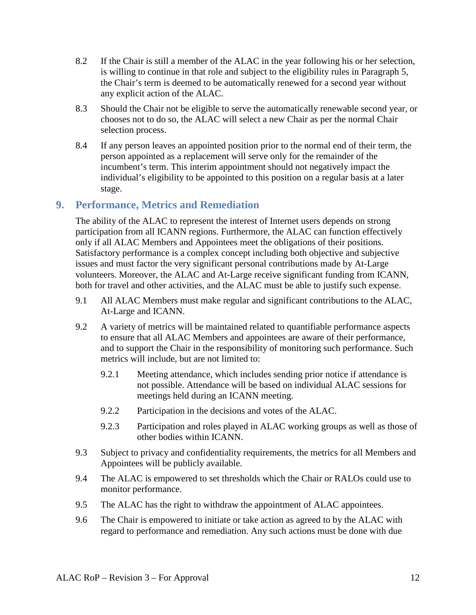- <span id="page-11-1"></span>8.2 If the Chair is still a member of the ALAC in the year following his or her selection, is willing to continue in that role and subject to the eligibility rules in Paragraph 5, the Chair's term is deemed to be automatically renewed for a second year without any explicit action of the ALAC.
- 8.3 Should the Chair not be eligible to serve the automatically renewable second year, or chooses not to do so, the ALAC will select a new Chair as per the normal Chair selection process.
- 8.4 If any person leaves an appointed position prior to the normal end of their term, the person appointed as a replacement will serve only for the remainder of the incumbent's term. This interim appointment should not negatively impact the individual's eligibility to be appointed to this position on a regular basis at a later stage.

#### <span id="page-11-0"></span>**9. Performance, Metrics and Remediation**

The ability of the ALAC to represent the interest of Internet users depends on strong participation from all ICANN regions. Furthermore, the ALAC can function effectively only if all ALAC Members and Appointees meet the obligations of their positions. Satisfactory performance is a complex concept including both objective and subjective issues and must factor the very significant personal contributions made by At-Large volunteers. Moreover, the ALAC and At-Large receive significant funding from ICANN, both for travel and other activities, and the ALAC must be able to justify such expense.

- 9.1 All ALAC Members must make regular and significant contributions to the ALAC, At-Large and ICANN.
- <span id="page-11-2"></span>9.2 A variety of metrics will be maintained related to quantifiable performance aspects to ensure that all ALAC Members and appointees are aware of their performance, and to support the Chair in the responsibility of monitoring such performance. Such metrics will include, but are not limited to:
	- 9.2.1 Meeting attendance, which includes sending prior notice if attendance is not possible. Attendance will be based on individual ALAC sessions for meetings held during an ICANN meeting.
	- 9.2.2 Participation in the decisions and votes of the ALAC.
	- 9.2.3 Participation and roles played in ALAC working groups as well as those of other bodies within ICANN.
- 9.3 Subject to privacy and confidentiality requirements, the metrics for all Members and Appointees will be publicly available.
- <span id="page-11-3"></span>9.4 The ALAC is empowered to set thresholds which the Chair or RALOs could use to monitor performance.
- 9.5 The ALAC has the right to withdraw the appointment of ALAC appointees.
- 9.6 The Chair is empowered to initiate or take action as agreed to by the ALAC with regard to performance and remediation. Any such actions must be done with due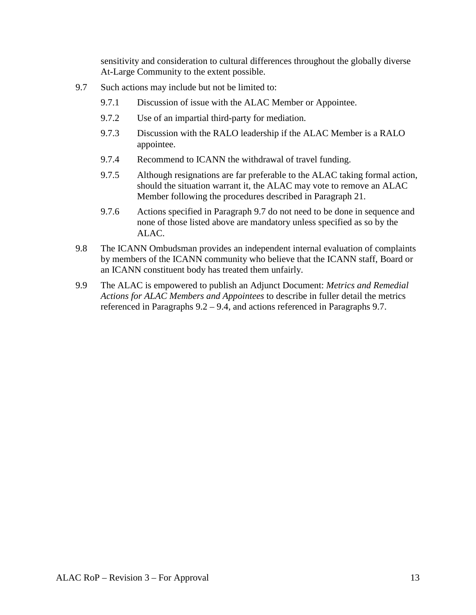sensitivity and consideration to cultural differences throughout the globally diverse At-Large Community to the extent possible.

- <span id="page-12-1"></span>9.7 Such actions may include but not be limited to:
	- 9.7.1 Discussion of issue with the ALAC Member or Appointee.
	- 9.7.2 Use of an impartial third-party for mediation.
	- 9.7.3 Discussion with the RALO leadership if the ALAC Member is a RALO appointee.
	- 9.7.4 Recommend to ICANN the withdrawal of travel funding.
	- 9.7.5 Although resignations are far preferable to the ALAC taking formal action, should the situation warrant it, the ALAC may vote to remove an ALAC Member following the procedures described in Paragraph [21.](#page-30-1)
	- 9.7.6 Actions specified in Paragraph [9.7](#page-12-1) do not need to be done in sequence and none of those listed above are mandatory unless specified as so by the ALAC.
- <span id="page-12-0"></span>9.8 The ICANN Ombudsman provides an independent internal evaluation of complaints by members of the ICANN community who believe that the ICANN staff, Board or an ICANN constituent body has treated them unfairly.
- 9.9 The ALAC is empowered to publish an Adjunct Document: *Metrics and Remedial Actions for ALAC Members and Appointees* to describe in fuller detail the metrics referenced in Paragraphs [9.2](#page-11-2) – [9.4,](#page-11-3) and actions referenced in Paragraphs [9.7.](#page-12-1)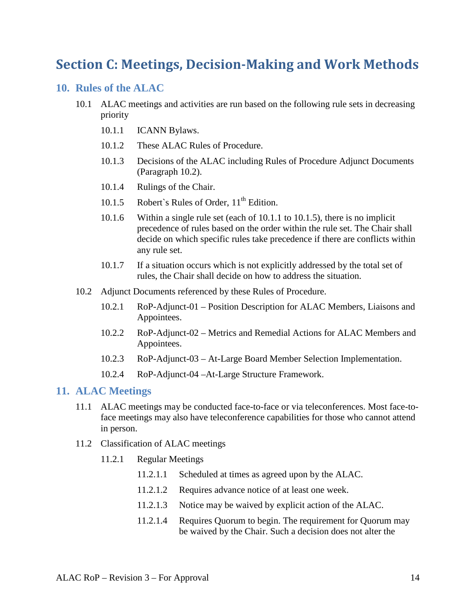# <span id="page-13-0"></span>**Section C: Meetings, Decision-Making and Work Methods**

#### <span id="page-13-1"></span>**10. Rules of the ALAC**

- <span id="page-13-4"></span>10.1 ALAC meetings and activities are run based on the following rule sets in decreasing priority
	- 10.1.1 ICANN Bylaws.
	- 10.1.2 These ALAC Rules of Procedure.
	- 10.1.3 Decisions of the ALAC including Rules of Procedure Adjunct Documents (Paragraph [10.2\)](#page-13-3).
	- 10.1.4 Rulings of the Chair.
	- 10.1.5 Robert's Rules of Order,  $11<sup>th</sup>$  Edition.
	- 10.1.6 Within a single rule set (each of [10.1.1](#page-13-4) to [10.1.5\)](#page-13-5), there is no implicit precedence of rules based on the order within the rule set. The Chair shall decide on which specific rules take precedence if there are conflicts within any rule set.
	- 10.1.7 If a situation occurs which is not explicitly addressed by the total set of rules, the Chair shall decide on how to address the situation.
- <span id="page-13-5"></span><span id="page-13-3"></span>10.2 Adjunct Documents referenced by these Rules of Procedure.
	- 10.2.1 RoP-Adjunct-01 Position Description for ALAC Members, Liaisons and Appointees.
	- 10.2.2 RoP-Adjunct-02 Metrics and Remedial Actions for ALAC Members and Appointees.
	- 10.2.3 RoP-Adjunct-03 At-Large Board Member Selection Implementation.
	- 10.2.4 RoP-Adjunct-04 –At-Large Structure Framework.

#### <span id="page-13-2"></span>**11. ALAC Meetings**

- 11.1 ALAC meetings may be conducted face-to-face or via teleconferences. Most face-toface meetings may also have teleconference capabilities for those who cannot attend in person.
- <span id="page-13-6"></span>11.2 Classification of ALAC meetings
	- 11.2.1 Regular Meetings
		- 11.2.1.1 Scheduled at times as agreed upon by the ALAC.
		- 11.2.1.2 Requires advance notice of at least one week.
		- 11.2.1.3 Notice may be waived by explicit action of the ALAC.
		- 11.2.1.4 Requires Quorum to begin. The requirement for Quorum may be waived by the Chair. Such a decision does not alter the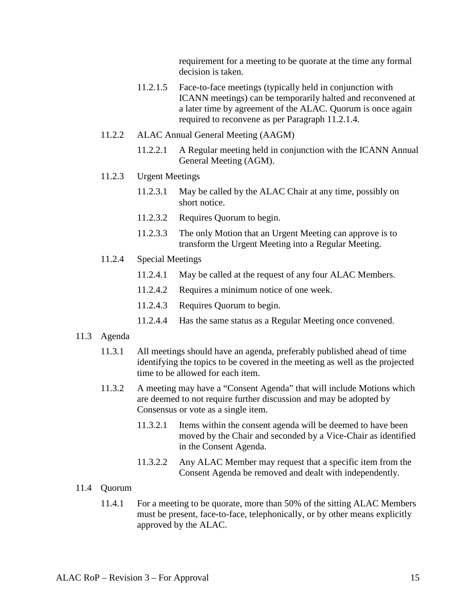requirement for a meeting to be quorate at the time any formal decision is taken.

- 11.2.1.5 Face-to-face meetings (typically held in conjunction with ICANN meetings) can be temporarily halted and reconvened at a later time by agreement of the ALAC. Quorum is once again required to reconvene as per Paragraph [11.2.1.4.](#page-13-6)
- <span id="page-14-0"></span>11.2.2 ALAC Annual General Meeting (AAGM)
	- 11.2.2.1 A Regular meeting held in conjunction with the ICANN Annual General Meeting (AGM).
- 11.2.3 Urgent Meetings
	- 11.2.3.1 May be called by the ALAC Chair at any time, possibly on short notice.
	- 11.2.3.2 Requires Quorum to begin.
	- 11.2.3.3 The only Motion that an Urgent Meeting can approve is to transform the Urgent Meeting into a Regular Meeting.
- 11.2.4 Special Meetings
	- 11.2.4.1 May be called at the request of any four ALAC Members.
	- 11.2.4.2 Requires a minimum notice of one week.
	- 11.2.4.3 Requires Quorum to begin.
	- 11.2.4.4 Has the same status as a Regular Meeting once convened.

#### 11.3 Agenda

- 11.3.1 All meetings should have an agenda, preferably published ahead of time identifying the topics to be covered in the meeting as well as the projected time to be allowed for each item.
- 11.3.2 A meeting may have a "Consent Agenda" that will include Motions which are deemed to not require further discussion and may be adopted by Consensus or vote as a single item.
	- 11.3.2.1 Items within the consent agenda will be deemed to have been moved by the Chair and seconded by a Vice-Chair as identified in the Consent Agenda.
	- 11.3.2.2 Any ALAC Member may request that a specific item from the Consent Agenda be removed and dealt with independently.

#### <span id="page-14-1"></span>11.4 Quorum

11.4.1 For a meeting to be quorate, more than 50% of the sitting ALAC Members must be present, face-to-face, telephonically, or by other means explicitly approved by the ALAC.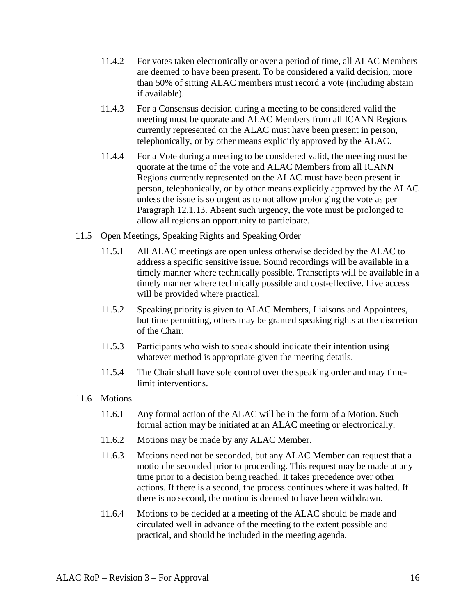- 11.4.2 For votes taken electronically or over a period of time, all ALAC Members are deemed to have been present. To be considered a valid decision, more than 50% of sitting ALAC members must record a vote (including abstain if available).
- 11.4.3 For a Consensus decision during a meeting to be considered valid the meeting must be quorate and ALAC Members from all ICANN Regions currently represented on the ALAC must have been present in person, telephonically, or by other means explicitly approved by the ALAC.
- <span id="page-15-1"></span>11.4.4 For a Vote during a meeting to be considered valid, the meeting must be quorate at the time of the vote and ALAC Members from all ICANN Regions currently represented on the ALAC must have been present in person, telephonically, or by other means explicitly approved by the ALAC unless the issue is so urgent as to not allow prolonging the vote as per Paragraph [12.1.13.](#page-18-0) Absent such urgency, the vote must be prolonged to allow all regions an opportunity to participate.
- 11.5 Open Meetings, Speaking Rights and Speaking Order
	- 11.5.1 All ALAC meetings are open unless otherwise decided by the ALAC to address a specific sensitive issue. Sound recordings will be available in a timely manner where technically possible. Transcripts will be available in a timely manner where technically possible and cost-effective. Live access will be provided where practical.
	- 11.5.2 Speaking priority is given to ALAC Members, Liaisons and Appointees, but time permitting, others may be granted speaking rights at the discretion of the Chair.
	- 11.5.3 Participants who wish to speak should indicate their intention using whatever method is appropriate given the meeting details.
	- 11.5.4 The Chair shall have sole control over the speaking order and may timelimit interventions.
- <span id="page-15-0"></span>11.6 Motions
	- 11.6.1 Any formal action of the ALAC will be in the form of a Motion. Such formal action may be initiated at an ALAC meeting or electronically.
	- 11.6.2 Motions may be made by any ALAC Member.
	- 11.6.3 Motions need not be seconded, but any ALAC Member can request that a motion be seconded prior to proceeding. This request may be made at any time prior to a decision being reached. It takes precedence over other actions. If there is a second, the process continues where it was halted. If there is no second, the motion is deemed to have been withdrawn.
	- 11.6.4 Motions to be decided at a meeting of the ALAC should be made and circulated well in advance of the meeting to the extent possible and practical, and should be included in the meeting agenda.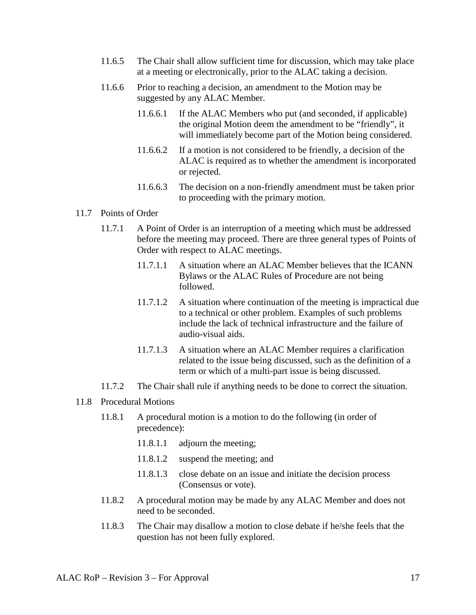- 11.6.5 The Chair shall allow sufficient time for discussion, which may take place at a meeting or electronically, prior to the ALAC taking a decision.
- 11.6.6 Prior to reaching a decision, an amendment to the Motion may be suggested by any ALAC Member.
	- 11.6.6.1 If the ALAC Members who put (and seconded, if applicable) the original Motion deem the amendment to be "friendly", it will immediately become part of the Motion being considered.
	- 11.6.6.2 If a motion is not considered to be friendly, a decision of the ALAC is required as to whether the amendment is incorporated or rejected.
	- 11.6.6.3 The decision on a non-friendly amendment must be taken prior to proceeding with the primary motion.

#### 11.7 Points of Order

- 11.7.1 A Point of Order is an interruption of a meeting which must be addressed before the meeting may proceed. There are three general types of Points of Order with respect to ALAC meetings.
	- 11.7.1.1 A situation where an ALAC Member believes that the ICANN Bylaws or the ALAC Rules of Procedure are not being followed.
	- 11.7.1.2 A situation where continuation of the meeting is impractical due to a technical or other problem. Examples of such problems include the lack of technical infrastructure and the failure of audio-visual aids.
	- 11.7.1.3 A situation where an ALAC Member requires a clarification related to the issue being discussed, such as the definition of a term or which of a multi-part issue is being discussed.
- 11.7.2 The Chair shall rule if anything needs to be done to correct the situation.

#### <span id="page-16-0"></span>11.8 Procedural Motions

- 11.8.1 A procedural motion is a motion to do the following (in order of precedence):
	- 11.8.1.1 adjourn the meeting;
	- 11.8.1.2 suspend the meeting; and
	- 11.8.1.3 close debate on an issue and initiate the decision process (Consensus or vote).
- 11.8.2 A procedural motion may be made by any ALAC Member and does not need to be seconded.
- 11.8.3 The Chair may disallow a motion to close debate if he/she feels that the question has not been fully explored.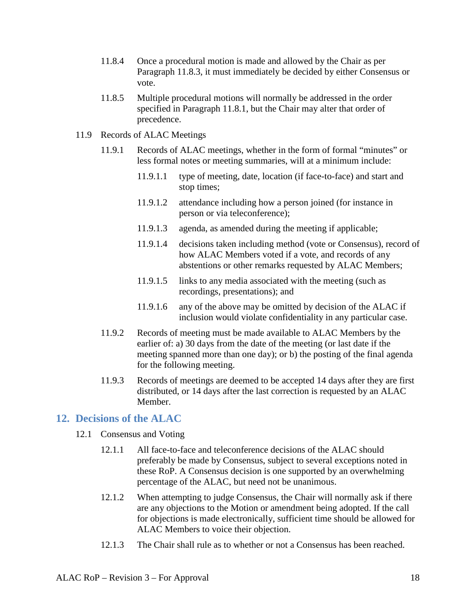- 11.8.4 Once a procedural motion is made and allowed by the Chair as per Paragraph 11.8.3, it must immediately be decided by either Consensus or vote.
- 11.8.5 Multiple procedural motions will normally be addressed in the order specified in Paragraph [11.8.1,](#page-16-0) but the Chair may alter that order of precedence.
- 11.9 Records of ALAC Meetings
	- 11.9.1 Records of ALAC meetings, whether in the form of formal "minutes" or less formal notes or meeting summaries, will at a minimum include:
		- 11.9.1.1 type of meeting, date, location (if face-to-face) and start and stop times;
		- 11.9.1.2 attendance including how a person joined (for instance in person or via teleconference);
		- 11.9.1.3 agenda, as amended during the meeting if applicable;
		- 11.9.1.4 decisions taken including method (vote or Consensus), record of how ALAC Members voted if a vote, and records of any abstentions or other remarks requested by ALAC Members;
		- 11.9.1.5 links to any media associated with the meeting (such as recordings, presentations); and
		- 11.9.1.6 any of the above may be omitted by decision of the ALAC if inclusion would violate confidentiality in any particular case.
	- 11.9.2 Records of meeting must be made available to ALAC Members by the earlier of: a) 30 days from the date of the meeting (or last date if the meeting spanned more than one day); or b) the posting of the final agenda for the following meeting.
	- 11.9.3 Records of meetings are deemed to be accepted 14 days after they are first distributed, or 14 days after the last correction is requested by an ALAC Member.

#### <span id="page-17-0"></span>**12. Decisions of the ALAC**

- <span id="page-17-1"></span>12.1 Consensus and Voting
	- 12.1.1 All face-to-face and teleconference decisions of the ALAC should preferably be made by Consensus, subject to several exceptions noted in these RoP. A Consensus decision is one supported by an overwhelming percentage of the ALAC, but need not be unanimous.
	- 12.1.2 When attempting to judge Consensus, the Chair will normally ask if there are any objections to the Motion or amendment being adopted. If the call for objections is made electronically, sufficient time should be allowed for ALAC Members to voice their objection.
	- 12.1.3 The Chair shall rule as to whether or not a Consensus has been reached.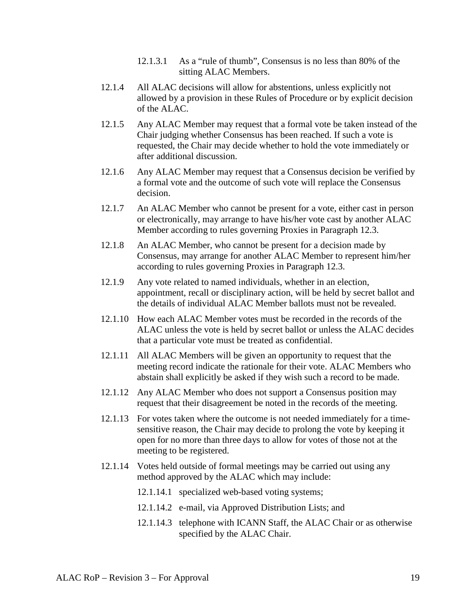- 12.1.3.1 As a "rule of thumb", Consensus is no less than 80% of the sitting ALAC Members.
- 12.1.4 All ALAC decisions will allow for abstentions, unless explicitly not allowed by a provision in these Rules of Procedure or by explicit decision of the ALAC.
- 12.1.5 Any ALAC Member may request that a formal vote be taken instead of the Chair judging whether Consensus has been reached. If such a vote is requested, the Chair may decide whether to hold the vote immediately or after additional discussion.
- 12.1.6 Any ALAC Member may request that a Consensus decision be verified by a formal vote and the outcome of such vote will replace the Consensus decision.
- 12.1.7 An ALAC Member who cannot be present for a vote, either cast in person or electronically, may arrange to have his/her vote cast by another ALAC Member according to rules governing Proxies in Paragraph [12.3.](#page-19-0)
- 12.1.8 An ALAC Member, who cannot be present for a decision made by Consensus, may arrange for another ALAC Member to represent him/her according to rules governing Proxies in Paragraph [12.3.](#page-19-0)
- <span id="page-18-1"></span>12.1.9 Any vote related to named individuals, whether in an election, appointment, recall or disciplinary action, will be held by secret ballot and the details of individual ALAC Member ballots must not be revealed.
- 12.1.10 How each ALAC Member votes must be recorded in the records of the ALAC unless the vote is held by secret ballot or unless the ALAC decides that a particular vote must be treated as confidential.
- 12.1.11 All ALAC Members will be given an opportunity to request that the meeting record indicate the rationale for their vote. ALAC Members who abstain shall explicitly be asked if they wish such a record to be made.
- 12.1.12 Any ALAC Member who does not support a Consensus position may request that their disagreement be noted in the records of the meeting.
- <span id="page-18-0"></span>12.1.13 For votes taken where the outcome is not needed immediately for a timesensitive reason, the Chair may decide to prolong the vote by keeping it open for no more than three days to allow for votes of those not at the meeting to be registered.
- 12.1.14 Votes held outside of formal meetings may be carried out using any method approved by the ALAC which may include:
	- 12.1.14.1 specialized web-based voting systems;
	- 12.1.14.2 e-mail, via Approved Distribution Lists; and
	- 12.1.14.3 telephone with ICANN Staff, the ALAC Chair or as otherwise specified by the ALAC Chair.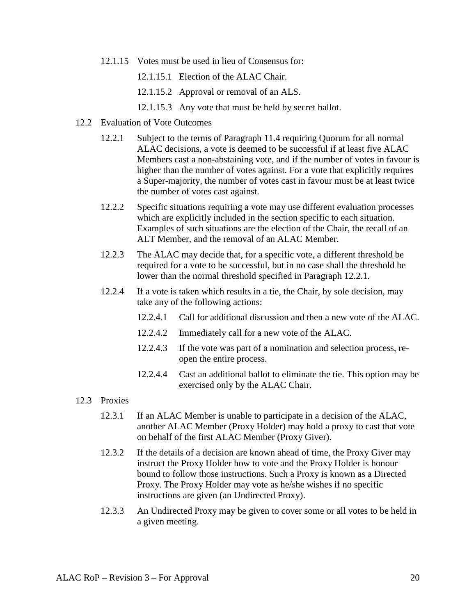- 12.1.15 Votes must be used in lieu of Consensus for:
	- 12.1.15.1 Election of the ALAC Chair.
	- 12.1.15.2 Approval or removal of an ALS.
	- 12.1.15.3 Any vote that must be held by secret ballot.
- <span id="page-19-1"></span>12.2 Evaluation of Vote Outcomes
	- 12.2.1 Subject to the terms of Paragraph [11.4](#page-14-1) requiring Quorum for all normal ALAC decisions, a vote is deemed to be successful if at least five ALAC Members cast a non-abstaining vote, and if the number of votes in favour is higher than the number of votes against. For a vote that explicitly requires a Super-majority, the number of votes cast in favour must be at least twice the number of votes cast against.
	- 12.2.2 Specific situations requiring a vote may use different evaluation processes which are explicitly included in the section specific to each situation. Examples of such situations are the election of the Chair, the recall of an ALT Member, and the removal of an ALAC Member.
	- 12.2.3 The ALAC may decide that, for a specific vote, a different threshold be required for a vote to be successful, but in no case shall the threshold be lower than the normal threshold specified in Paragraph [12.2.1.](#page-19-1)
	- 12.2.4 If a vote is taken which results in a tie, the Chair, by sole decision, may take any of the following actions:
		- 12.2.4.1 Call for additional discussion and then a new vote of the ALAC.
		- 12.2.4.2 Immediately call for a new vote of the ALAC.
		- 12.2.4.3 If the vote was part of a nomination and selection process, reopen the entire process.
		- 12.2.4.4 Cast an additional ballot to eliminate the tie. This option may be exercised only by the ALAC Chair.
- <span id="page-19-0"></span>12.3 Proxies
	- 12.3.1 If an ALAC Member is unable to participate in a decision of the ALAC, another ALAC Member (Proxy Holder) may hold a proxy to cast that vote on behalf of the first ALAC Member (Proxy Giver).
	- 12.3.2 If the details of a decision are known ahead of time, the Proxy Giver may instruct the Proxy Holder how to vote and the Proxy Holder is honour bound to follow those instructions. Such a Proxy is known as a Directed Proxy. The Proxy Holder may vote as he/she wishes if no specific instructions are given (an Undirected Proxy).
	- 12.3.3 An Undirected Proxy may be given to cover some or all votes to be held in a given meeting.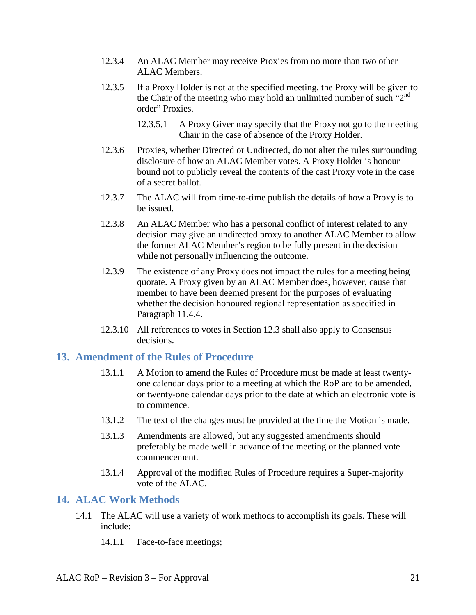- 12.3.4 An ALAC Member may receive Proxies from no more than two other ALAC Members.
- 12.3.5 If a Proxy Holder is not at the specified meeting, the Proxy will be given to the Chair of the meeting who may hold an unlimited number of such " $2<sup>nd</sup>$ " order" Proxies.
	- 12.3.5.1 A Proxy Giver may specify that the Proxy not go to the meeting Chair in the case of absence of the Proxy Holder.
- 12.3.6 Proxies, whether Directed or Undirected, do not alter the rules surrounding disclosure of how an ALAC Member votes. A Proxy Holder is honour bound not to publicly reveal the contents of the cast Proxy vote in the case of a secret ballot.
- 12.3.7 The ALAC will from time-to-time publish the details of how a Proxy is to be issued.
- 12.3.8 An ALAC Member who has a personal conflict of interest related to any decision may give an undirected proxy to another ALAC Member to allow the former ALAC Member's region to be fully present in the decision while not personally influencing the outcome.
- 12.3.9 The existence of any Proxy does not impact the rules for a meeting being quorate. A Proxy given by an ALAC Member does, however, cause that member to have been deemed present for the purposes of evaluating whether the decision honoured regional representation as specified in Paragraph [11.4.4.](#page-15-1)
- 12.3.10 All references to votes in Section 12.3 shall also apply to Consensus decisions.

#### <span id="page-20-0"></span>**13. Amendment of the Rules of Procedure**

- 13.1.1 A Motion to amend the Rules of Procedure must be made at least twentyone calendar days prior to a meeting at which the RoP are to be amended, or twenty-one calendar days prior to the date at which an electronic vote is to commence.
- 13.1.2 The text of the changes must be provided at the time the Motion is made.
- 13.1.3 Amendments are allowed, but any suggested amendments should preferably be made well in advance of the meeting or the planned vote commencement.
- 13.1.4 Approval of the modified Rules of Procedure requires a Super-majority vote of the ALAC.

#### <span id="page-20-1"></span>**14. ALAC Work Methods**

- 14.1 The ALAC will use a variety of work methods to accomplish its goals. These will include:
	- 14.1.1 Face-to-face meetings;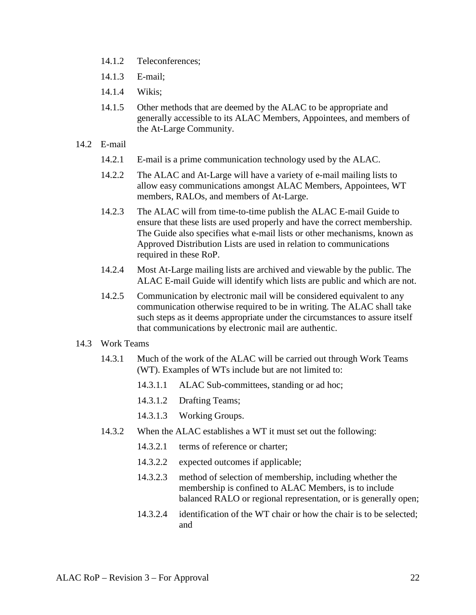- 14.1.2 Teleconferences;
- 14.1.3 E-mail;
- 14.1.4 Wikis;
- 14.1.5 Other methods that are deemed by the ALAC to be appropriate and generally accessible to its ALAC Members, Appointees, and members of the At-Large Community.

#### 14.2 E-mail

- 14.2.1 E-mail is a prime communication technology used by the ALAC.
- 14.2.2 The ALAC and At-Large will have a variety of e-mail mailing lists to allow easy communications amongst ALAC Members, Appointees, WT members, RALOs, and members of At-Large.
- <span id="page-21-0"></span>14.2.3 The ALAC will from time-to-time publish the ALAC E-mail Guide to ensure that these lists are used properly and have the correct membership. The Guide also specifies what e-mail lists or other mechanisms, known as Approved Distribution Lists are used in relation to communications required in these RoP.
- 14.2.4 Most At-Large mailing lists are archived and viewable by the public. The ALAC E-mail Guide will identify which lists are public and which are not.
- 14.2.5 Communication by electronic mail will be considered equivalent to any communication otherwise required to be in writing. The ALAC shall take such steps as it deems appropriate under the circumstances to assure itself that communications by electronic mail are authentic.

#### <span id="page-21-1"></span>14.3 Work Teams

- 14.3.1 Much of the work of the ALAC will be carried out through Work Teams (WT). Examples of WTs include but are not limited to:
	- 14.3.1.1 ALAC Sub-committees, standing or ad hoc;
	- 14.3.1.2 Drafting Teams;
	- 14.3.1.3 Working Groups.
- 14.3.2 When the ALAC establishes a WT it must set out the following:
	- 14.3.2.1 terms of reference or charter:
	- 14.3.2.2 expected outcomes if applicable;
	- 14.3.2.3 method of selection of membership, including whether the membership is confined to ALAC Members, is to include balanced RALO or regional representation, or is generally open;
	- 14.3.2.4 identification of the WT chair or how the chair is to be selected; and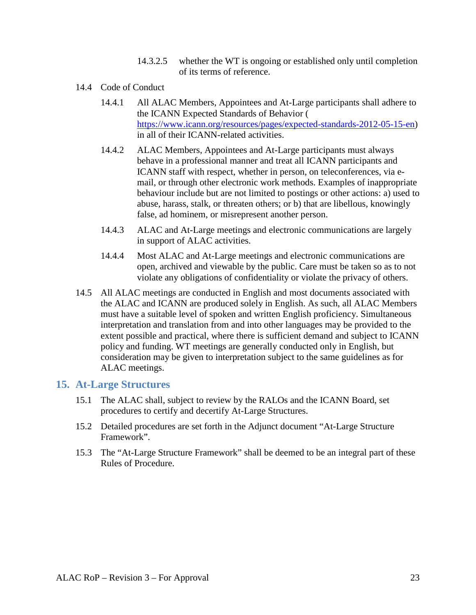- 14.3.2.5 whether the WT is ongoing or established only until completion of its terms of reference.
- <span id="page-22-1"></span>14.4 Code of Conduct
	- 14.4.1 All ALAC Members, Appointees and At-Large participants shall adhere to the ICANN Expected Standards of Behavior ( https://www.icann.org/resources/pages/expected-standards-2012-05-15-en) in all of their ICANN-related activities.
	- 14.4.2 ALAC Members, Appointees and At-Large participants must always behave in a professional manner and treat all ICANN participants and ICANN staff with respect, whether in person, on teleconferences, via email, or through other electronic work methods. Examples of inappropriate behaviour include but are not limited to postings or other actions: a) used to abuse, harass, stalk, or threaten others; or b) that are libellous, knowingly false, ad hominem, or misrepresent another person.
	- 14.4.3 ALAC and At-Large meetings and electronic communications are largely in support of ALAC activities.
	- 14.4.4 Most ALAC and At-Large meetings and electronic communications are open, archived and viewable by the public. Care must be taken so as to not violate any obligations of confidentiality or violate the privacy of others.
- 14.5 All ALAC meetings are conducted in English and most documents associated with the ALAC and ICANN are produced solely in English. As such, all ALAC Members must have a suitable level of spoken and written English proficiency. Simultaneous interpretation and translation from and into other languages may be provided to the extent possible and practical, where there is sufficient demand and subject to ICANN policy and funding. WT meetings are generally conducted only in English, but consideration may be given to interpretation subject to the same guidelines as for ALAC meetings.

#### <span id="page-22-0"></span>**15. At-Large Structures**

- 15.1 The ALAC shall, subject to review by the RALOs and the ICANN Board, set procedures to certify and decertify At-Large Structures.
- 15.2 Detailed procedures are set forth in the Adjunct document "At-Large Structure Framework".
- 15.3 The "At-Large Structure Framework" shall be deemed to be an integral part of these Rules of Procedure.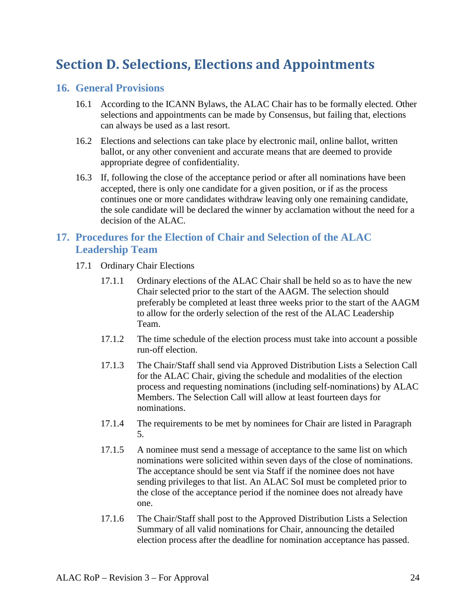# <span id="page-23-0"></span>**Section D. Selections, Elections and Appointments**

#### <span id="page-23-1"></span>**16. General Provisions**

- 16.1 According to the ICANN Bylaws, the ALAC Chair has to be formally elected. Other selections and appointments can be made by Consensus, but failing that, elections can always be used as a last resort.
- 16.2 Elections and selections can take place by electronic mail, online ballot, written ballot, or any other convenient and accurate means that are deemed to provide appropriate degree of confidentiality.
- 16.3 If, following the close of the acceptance period or after all nominations have been accepted, there is only one candidate for a given position, or if as the process continues one or more candidates withdraw leaving only one remaining candidate, the sole candidate will be declared the winner by acclamation without the need for a decision of the ALAC.

# <span id="page-23-2"></span>**17. Procedures for the Election of Chair and Selection of the ALAC Leadership Team**

- <span id="page-23-4"></span><span id="page-23-3"></span>17.1 Ordinary Chair Elections
	- 17.1.1 Ordinary elections of the ALAC Chair shall be held so as to have the new Chair selected prior to the start of the AAGM. The selection should preferably be completed at least three weeks prior to the start of the AAGM to allow for the orderly selection of the rest of the ALAC Leadership Team.
	- 17.1.2 The time schedule of the election process must take into account a possible run-off election.
	- 17.1.3 The Chair/Staff shall send via Approved Distribution Lists a Selection Call for the ALAC Chair, giving the schedule and modalities of the election process and requesting nominations (including self-nominations) by ALAC Members. The Selection Call will allow at least fourteen days for nominations.
	- 17.1.4 The requirements to be met by nominees for Chair are listed in Paragraph [5.](#page-6-2)
	- 17.1.5 A nominee must send a message of acceptance to the same list on which nominations were solicited within seven days of the close of nominations. The acceptance should be sent via Staff if the nominee does not have sending privileges to that list. An ALAC SoI must be completed prior to the close of the acceptance period if the nominee does not already have one.
	- 17.1.6 The Chair/Staff shall post to the Approved Distribution Lists a Selection Summary of all valid nominations for Chair, announcing the detailed election process after the deadline for nomination acceptance has passed.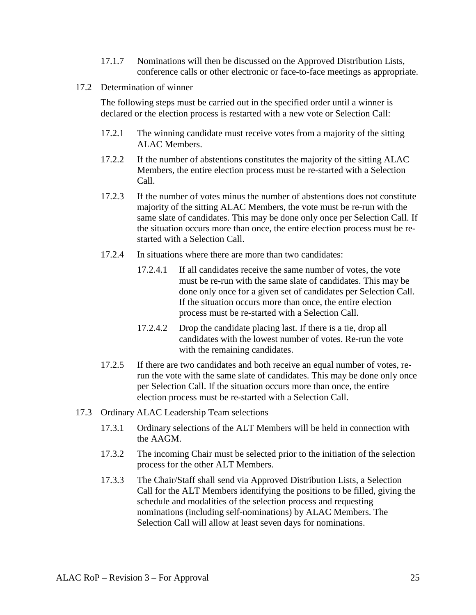- 17.1.7 Nominations will then be discussed on the Approved Distribution Lists, conference calls or other electronic or face-to-face meetings as appropriate.
- 17.2 Determination of winner

The following steps must be carried out in the specified order until a winner is declared or the election process is restarted with a new vote or Selection Call:

- 17.2.1 The winning candidate must receive votes from a majority of the sitting ALAC Members.
- 17.2.2 If the number of abstentions constitutes the majority of the sitting ALAC Members, the entire election process must be re-started with a Selection Call.
- 17.2.3 If the number of votes minus the number of abstentions does not constitute majority of the sitting ALAC Members, the vote must be re-run with the same slate of candidates. This may be done only once per Selection Call. If the situation occurs more than once, the entire election process must be restarted with a Selection Call.
- 17.2.4 In situations where there are more than two candidates:
	- 17.2.4.1 If all candidates receive the same number of votes, the vote must be re-run with the same slate of candidates. This may be done only once for a given set of candidates per Selection Call. If the situation occurs more than once, the entire election process must be re-started with a Selection Call.
	- 17.2.4.2 Drop the candidate placing last. If there is a tie, drop all candidates with the lowest number of votes. Re-run the vote with the remaining candidates.
- 17.2.5 If there are two candidates and both receive an equal number of votes, rerun the vote with the same slate of candidates. This may be done only once per Selection Call. If the situation occurs more than once, the entire election process must be re-started with a Selection Call.
- 17.3 Ordinary ALAC Leadership Team selections
	- 17.3.1 Ordinary selections of the ALT Members will be held in connection with the AAGM.
	- 17.3.2 The incoming Chair must be selected prior to the initiation of the selection process for the other ALT Members.
	- 17.3.3 The Chair/Staff shall send via Approved Distribution Lists, a Selection Call for the ALT Members identifying the positions to be filled, giving the schedule and modalities of the selection process and requesting nominations (including self-nominations) by ALAC Members. The Selection Call will allow at least seven days for nominations.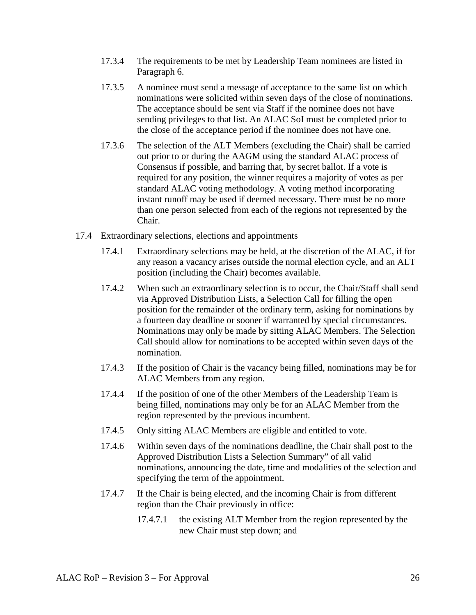- 17.3.4 The requirements to be met by Leadership Team nominees are listed in Paragraph [6.](#page-9-0)
- 17.3.5 A nominee must send a message of acceptance to the same list on which nominations were solicited within seven days of the close of nominations. The acceptance should be sent via Staff if the nominee does not have sending privileges to that list. An ALAC SoI must be completed prior to the close of the acceptance period if the nominee does not have one.
- 17.3.6 The selection of the ALT Members (excluding the Chair) shall be carried out prior to or during the AAGM using the standard ALAC process of Consensus if possible, and barring that, by secret ballot. If a vote is required for any position, the winner requires a majority of votes as per standard ALAC voting methodology. A voting method incorporating instant runoff may be used if deemed necessary. There must be no more than one person selected from each of the regions not represented by the Chair.
- 17.4 Extraordinary selections, elections and appointments
	- 17.4.1 Extraordinary selections may be held, at the discretion of the ALAC, if for any reason a vacancy arises outside the normal election cycle, and an ALT position (including the Chair) becomes available.
	- 17.4.2 When such an extraordinary selection is to occur, the Chair/Staff shall send via Approved Distribution Lists, a Selection Call for filling the open position for the remainder of the ordinary term, asking for nominations by a fourteen day deadline or sooner if warranted by special circumstances. Nominations may only be made by sitting ALAC Members. The Selection Call should allow for nominations to be accepted within seven days of the nomination.
	- 17.4.3 If the position of Chair is the vacancy being filled, nominations may be for ALAC Members from any region.
	- 17.4.4 If the position of one of the other Members of the Leadership Team is being filled, nominations may only be for an ALAC Member from the region represented by the previous incumbent.
	- 17.4.5 Only sitting ALAC Members are eligible and entitled to vote.
	- 17.4.6 Within seven days of the nominations deadline, the Chair shall post to the Approved Distribution Lists a Selection Summary" of all valid nominations, announcing the date, time and modalities of the selection and specifying the term of the appointment.
	- 17.4.7 If the Chair is being elected, and the incoming Chair is from different region than the Chair previously in office:
		- 17.4.7.1 the existing ALT Member from the region represented by the new Chair must step down; and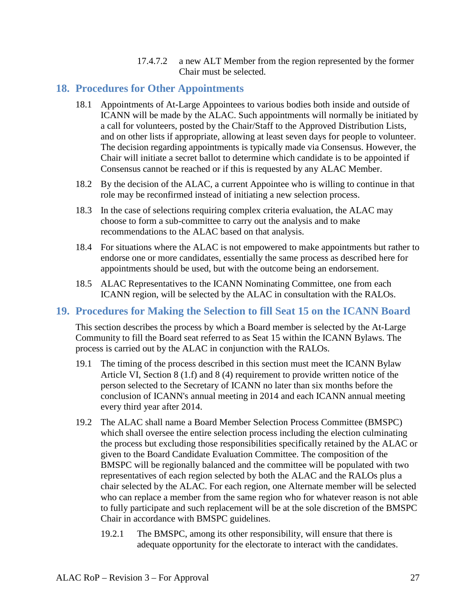17.4.7.2 a new ALT Member from the region represented by the former Chair must be selected.

#### <span id="page-26-0"></span>**18. Procedures for Other Appointments**

- 18.1 Appointments of At-Large Appointees to various bodies both inside and outside of ICANN will be made by the ALAC. Such appointments will normally be initiated by a call for volunteers, posted by the Chair/Staff to the Approved Distribution Lists, and on other lists if appropriate, allowing at least seven days for people to volunteer. The decision regarding appointments is typically made via Consensus. However, the Chair will initiate a secret ballot to determine which candidate is to be appointed if Consensus cannot be reached or if this is requested by any ALAC Member.
- 18.2 By the decision of the ALAC, a current Appointee who is willing to continue in that role may be reconfirmed instead of initiating a new selection process.
- 18.3 In the case of selections requiring complex criteria evaluation, the ALAC may choose to form a sub-committee to carry out the analysis and to make recommendations to the ALAC based on that analysis.
- 18.4 For situations where the ALAC is not empowered to make appointments but rather to endorse one or more candidates, essentially the same process as described here for appointments should be used, but with the outcome being an endorsement.
- 18.5 ALAC Representatives to the ICANN Nominating Committee, one from each ICANN region, will be selected by the ALAC in consultation with the RALOs.

## <span id="page-26-1"></span>**19. Procedures for Making the Selection to fill Seat 15 on the ICANN Board**

This section describes the process by which a Board member is selected by the At-Large Community to fill the Board seat referred to as Seat 15 within the ICANN Bylaws. The process is carried out by the ALAC in conjunction with the RALOs.

- 19.1 The timing of the process described in this section must meet the ICANN Bylaw Article VI, Section 8 (1.f) and 8 (4) requirement to provide written notice of the person selected to the Secretary of ICANN no later than six months before the conclusion of ICANN's annual meeting in 2014 and each ICANN annual meeting every third year after 2014.
- 19.2 The ALAC shall name a Board Member Selection Process Committee (BMSPC) which shall oversee the entire selection process including the election culminating the process but excluding those responsibilities specifically retained by the ALAC or given to the Board Candidate Evaluation Committee. The composition of the BMSPC will be regionally balanced and the committee will be populated with two representatives of each region selected by both the ALAC and the RALOs plus a chair selected by the ALAC. For each region, one Alternate member will be selected who can replace a member from the same region who for whatever reason is not able to fully participate and such replacement will be at the sole discretion of the BMSPC Chair in accordance with BMSPC guidelines.
	- 19.2.1 The BMSPC, among its other responsibility, will ensure that there is adequate opportunity for the electorate to interact with the candidates.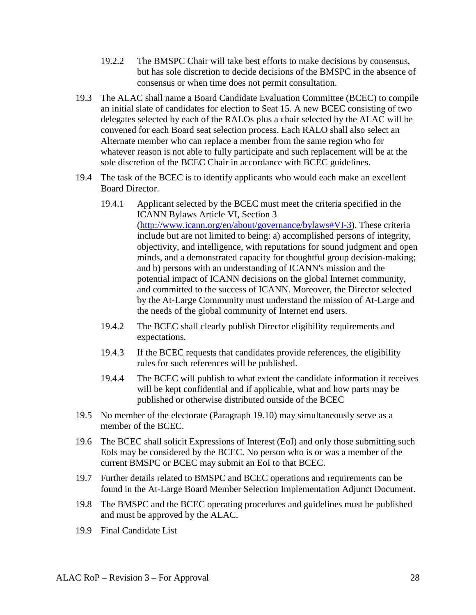- 19.2.2 The BMSPC Chair will take best efforts to make decisions by consensus, but has sole discretion to decide decisions of the BMSPC in the absence of consensus or when time does not permit consultation.
- 19.3 The ALAC shall name a Board Candidate Evaluation Committee (BCEC) to compile an initial slate of candidates for election to Seat 15. A new BCEC consisting of two delegates selected by each of the RALOs plus a chair selected by the ALAC will be convened for each Board seat selection process. Each RALO shall also select an Alternate member who can replace a member from the same region who for whatever reason is not able to fully participate and such replacement will be at the sole discretion of the BCEC Chair in accordance with BCEC guidelines.
- 19.4 The task of the BCEC is to identify applicants who would each make an excellent Board Director.
	- 19.4.1 Applicant selected by the BCEC must meet the criteria specified in the ICANN Bylaws Article VI, Section 3 [\(http://www.icann.org/en/about/governance/bylaws#VI-3\)](http://www.icann.org/en/about/governance/bylaws#VI-3). These criteria include but are not limited to being: a) accomplished persons of integrity, objectivity, and intelligence, with reputations for sound judgment and open minds, and a demonstrated capacity for thoughtful group decision-making; and b) persons with an understanding of ICANN's mission and the potential impact of ICANN decisions on the global Internet community, and committed to the success of ICANN. Moreover, the Director selected by the At-Large Community must understand the mission of At-Large and the needs of the global community of Internet end users.
	- 19.4.2 The BCEC shall clearly publish Director eligibility requirements and expectations.
	- 19.4.3 If the BCEC requests that candidates provide references, the eligibility rules for such references will be published.
	- 19.4.4 The BCEC will publish to what extent the candidate information it receives will be kept confidential and if applicable, what and how parts may be published or otherwise distributed outside of the BCEC
- 19.5 No member of the electorate (Paragraph [19.10\)](#page-28-0) may simultaneously serve as a member of the BCEC.
- 19.6 The BCEC shall solicit Expressions of Interest (EoI) and only those submitting such EoIs may be considered by the BCEC. No person who is or was a member of the current BMSPC or BCEC may submit an EoI to that BCEC.
- 19.7 Further details related to BMSPC and BCEC operations and requirements can be found in the At-Large Board Member Selection Implementation Adjunct Document.
- 19.8 The BMSPC and the BCEC operating procedures and guidelines must be published and must be approved by the ALAC.
- 19.9 Final Candidate List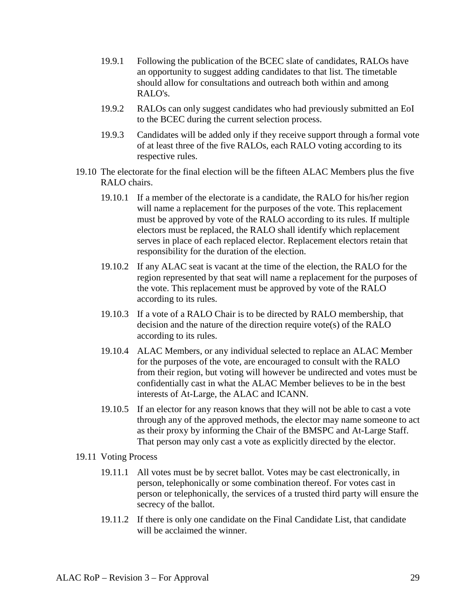- 19.9.1 Following the publication of the BCEC slate of candidates, RALOs have an opportunity to suggest adding candidates to that list. The timetable should allow for consultations and outreach both within and among RALO's.
- 19.9.2 RALOs can only suggest candidates who had previously submitted an EoI to the BCEC during the current selection process.
- 19.9.3 Candidates will be added only if they receive support through a formal vote of at least three of the five RALOs, each RALO voting according to its respective rules.
- <span id="page-28-0"></span>19.10 The electorate for the final election will be the fifteen ALAC Members plus the five RALO chairs.
	- 19.10.1 If a member of the electorate is a candidate, the RALO for his/her region will name a replacement for the purposes of the vote. This replacement must be approved by vote of the RALO according to its rules. If multiple electors must be replaced, the RALO shall identify which replacement serves in place of each replaced elector. Replacement electors retain that responsibility for the duration of the election.
	- 19.10.2 If any ALAC seat is vacant at the time of the election, the RALO for the region represented by that seat will name a replacement for the purposes of the vote. This replacement must be approved by vote of the RALO according to its rules.
	- 19.10.3 If a vote of a RALO Chair is to be directed by RALO membership, that decision and the nature of the direction require vote(s) of the RALO according to its rules.
	- 19.10.4 ALAC Members, or any individual selected to replace an ALAC Member for the purposes of the vote, are encouraged to consult with the RALO from their region, but voting will however be undirected and votes must be confidentially cast in what the ALAC Member believes to be in the best interests of At-Large, the ALAC and ICANN.
	- 19.10.5 If an elector for any reason knows that they will not be able to cast a vote through any of the approved methods, the elector may name someone to act as their proxy by informing the Chair of the BMSPC and At-Large Staff. That person may only cast a vote as explicitly directed by the elector.
- 19.11 Voting Process
	- 19.11.1 All votes must be by secret ballot. Votes may be cast electronically, in person, telephonically or some combination thereof. For votes cast in person or telephonically, the services of a trusted third party will ensure the secrecy of the ballot.
	- 19.11.2 If there is only one candidate on the Final Candidate List, that candidate will be acclaimed the winner.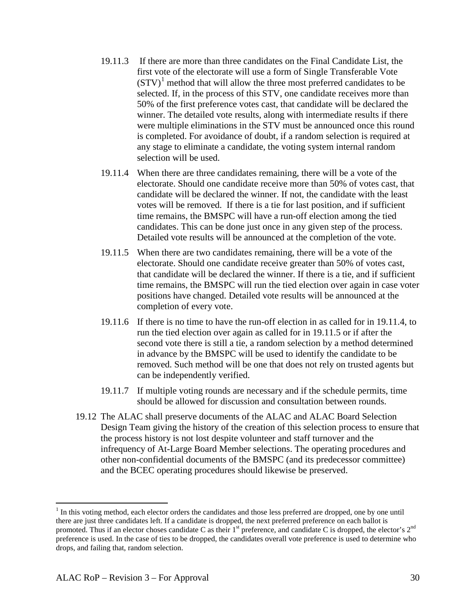- 19.11.3 If there are more than three candidates on the Final Candidate List, the first vote of the electorate will use a form of Single Transferable Vote  $(STV)^1$  $(STV)^1$  method that will allow the three most preferred candidates to be selected. If, in the process of this STV, one candidate receives more than 50% of the first preference votes cast, that candidate will be declared the winner. The detailed vote results, along with intermediate results if there were multiple eliminations in the STV must be announced once this round is completed. For avoidance of doubt, if a random selection is required at any stage to eliminate a candidate, the voting system internal random selection will be used.
- <span id="page-29-0"></span>19.11.4 When there are three candidates remaining, there will be a vote of the electorate. Should one candidate receive more than 50% of votes cast, that candidate will be declared the winner. If not, the candidate with the least votes will be removed. If there is a tie for last position, and if sufficient time remains, the BMSPC will have a run-off election among the tied candidates. This can be done just once in any given step of the process. Detailed vote results will be announced at the completion of the vote.
- <span id="page-29-1"></span>19.11.5 When there are two candidates remaining, there will be a vote of the electorate. Should one candidate receive greater than 50% of votes cast, that candidate will be declared the winner. If there is a tie, and if sufficient time remains, the BMSPC will run the tied election over again in case voter positions have changed. Detailed vote results will be announced at the completion of every vote.
- 19.11.6 If there is no time to have the run-off election in as called for in [19.11.4,](#page-29-0) to run the tied election over again as called for in [19.11.5](#page-29-1) or if after the second vote there is still a tie, a random selection by a method determined in advance by the BMSPC will be used to identify the candidate to be removed. Such method will be one that does not rely on trusted agents but can be independently verified.
- 19.11.7 If multiple voting rounds are necessary and if the schedule permits, time should be allowed for discussion and consultation between rounds.
- 19.12 The ALAC shall preserve documents of the ALAC and ALAC Board Selection Design Team giving the history of the creation of this selection process to ensure that the process history is not lost despite volunteer and staff turnover and the infrequency of At-Large Board Member selections. The operating procedures and other non-confidential documents of the BMSPC (and its predecessor committee) and the BCEC operating procedures should likewise be preserved.

<span id="page-29-2"></span> $<sup>1</sup>$  In this voting method, each elector orders the candidates and those less preferred are dropped, one by one until</sup> there are just three candidates left. If a candidate is dropped, the next preferred preference on each ballot is promoted. Thus if an elector choses candidate C as their  $1<sup>st</sup>$  preference, and candidate C is dropped, the elector's  $2<sup>nd</sup>$ preference is used. In the case of ties to be dropped, the candidates overall vote preference is used to determine who drops, and failing that, random selection.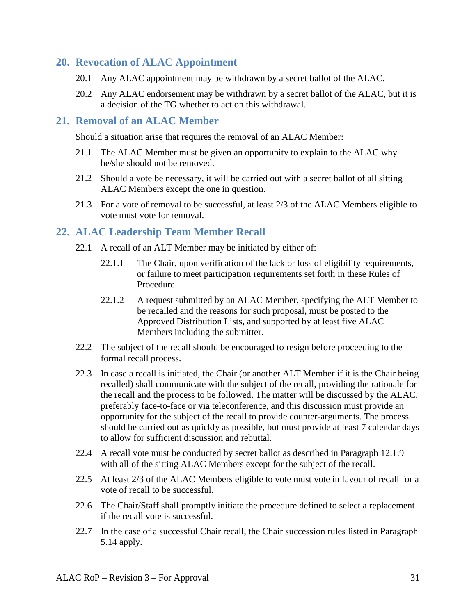#### <span id="page-30-0"></span>**20. Revocation of ALAC Appointment**

- 20.1 Any ALAC appointment may be withdrawn by a secret ballot of the ALAC.
- 20.2 Any ALAC endorsement may be withdrawn by a secret ballot of the ALAC, but it is a decision of the TG whether to act on this withdrawal.

#### <span id="page-30-1"></span>**21. Removal of an ALAC Member**

Should a situation arise that requires the removal of an ALAC Member:

- 21.1 The ALAC Member must be given an opportunity to explain to the ALAC why he/she should not be removed.
- 21.2 Should a vote be necessary, it will be carried out with a secret ballot of all sitting ALAC Members except the one in question.
- 21.3 For a vote of removal to be successful, at least 2/3 of the ALAC Members eligible to vote must vote for removal.

### <span id="page-30-2"></span>**22. ALAC Leadership Team Member Recall**

- 22.1 A recall of an ALT Member may be initiated by either of:
	- 22.1.1 The Chair, upon verification of the lack or loss of eligibility requirements, or failure to meet participation requirements set forth in these Rules of Procedure.
	- 22.1.2 A request submitted by an ALAC Member, specifying the ALT Member to be recalled and the reasons for such proposal, must be posted to the Approved Distribution Lists, and supported by at least five ALAC Members including the submitter.
- 22.2 The subject of the recall should be encouraged to resign before proceeding to the formal recall process.
- 22.3 In case a recall is initiated, the Chair (or another ALT Member if it is the Chair being recalled) shall communicate with the subject of the recall, providing the rationale for the recall and the process to be followed. The matter will be discussed by the ALAC, preferably face-to-face or via teleconference, and this discussion must provide an opportunity for the subject of the recall to provide counter-arguments. The process should be carried out as quickly as possible, but must provide at least 7 calendar days to allow for sufficient discussion and rebuttal.
- 22.4 A recall vote must be conducted by secret ballot as described in Paragraph [12.1.9](#page-18-1) with all of the sitting ALAC Members except for the subject of the recall.
- 22.5 At least 2/3 of the ALAC Members eligible to vote must vote in favour of recall for a vote of recall to be successful.
- 22.6 The Chair/Staff shall promptly initiate the procedure defined to select a replacement if the recall vote is successful.
- 22.7 In the case of a successful Chair recall, the Chair succession rules listed in Paragraph [5.14](#page-8-2) apply.